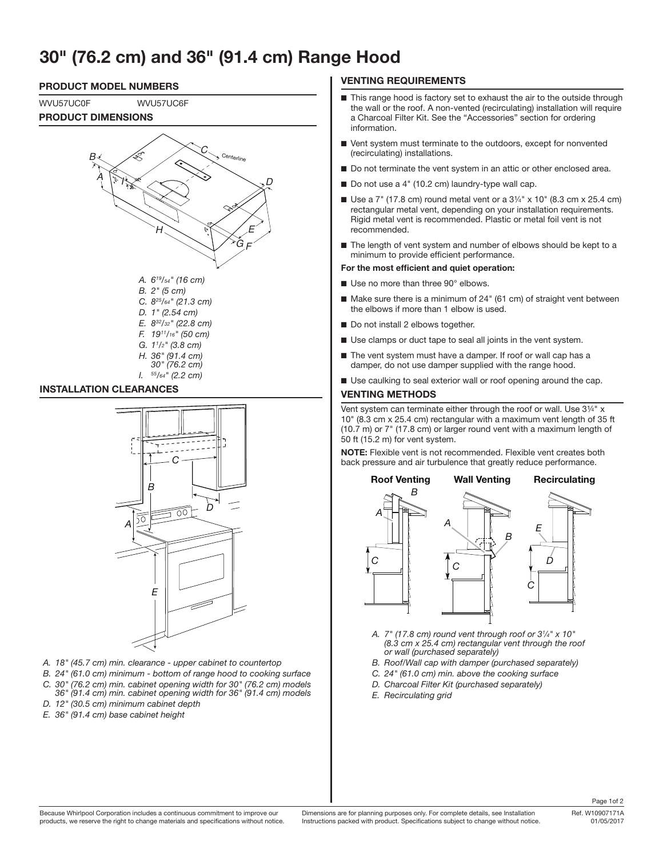# **30" (76.2 cm) and 36" (91.4 cm) Range Hood**



#### **INSTALLATION CLEARANCES**



*H. 36" (91.4 cm) 30" (76.2 cm) I. 55/64" (2.2 cm)*

- *A. 18" (45.7 cm) min. clearance upper cabinet to countertop*
- *B. 24" (61.0 cm) minimum bottom of range hood to cooking surface*
- *C. 30" (76.2 cm) min. cabinet opening width for 30" (76.2 cm) models 36" (91.4 cm) min. cabinet opening width for 36" (91.4 cm) models*
- *D. 12" (30.5 cm) minimum cabinet depth*
- *E. 36" (91.4 cm) base cabinet height*

## **VENTING REQUIREMENTS**

- This range hood is factory set to exhaust the air to the outside through the wall or the roof. A non-vented (recirculating) installation will require a Charcoal Filter Kit. See the "Accessories" section for ordering information.
- Vent system must terminate to the outdoors, except for nonvented (recirculating) installations.
- Do not terminate the vent system in an attic or other enclosed area.
- Do not use a 4" (10.2 cm) laundry-type wall cap.
- Use a  $7^{\circ}$  (17.8 cm) round metal vent or a  $3\frac{1}{4}$ " x 10" (8.3 cm x 25.4 cm) rectangular metal vent, depending on your installation requirements. Rigid metal vent is recommended. Plastic or metal foil vent is not recommended.
- The length of vent system and number of elbows should be kept to a minimum to provide efficient performance.

#### **For the most efficient and quiet operation:**

- Use no more than three 90° elbows.
- Make sure there is a minimum of 24" (61 cm) of straight vent between the elbows if more than 1 elbow is used.
- Do not install 2 elbows together.
- Use clamps or duct tape to seal all joints in the vent system.
- The vent system must have a damper. If roof or wall cap has a damper, do not use damper supplied with the range hood.
- Use caulking to seal exterior wall or roof opening around the cap.

#### **VENTING METHODS**

Vent system can terminate either through the roof or wall. Use  $3\frac{1}{4}$ " x 10" (8.3 cm x 25.4 cm) rectangular with a maximum vent length of 35 ft (10.7 m) or 7" (17.8 cm) or larger round vent with a maximum length of 50 ft (15.2 m) for vent system.

**NOTE:** Flexible vent is not recommended. Flexible vent creates both back pressure and air turbulence that greatly reduce performance.



- *A. 7" (17.8 cm) round vent through roof or 31 ⁄4" x 10" (8.3 cm x 25.4 cm) rectangular vent through the roof or wall (purchased separately)*
- *B. Roof/Wall cap with damper (purchased separately)*
- *C. 24" (61.0 cm) min. above the cooking surface*
- *D. Charcoal Filter Kit (purchased separately)*
- *E. Recirculating grid*